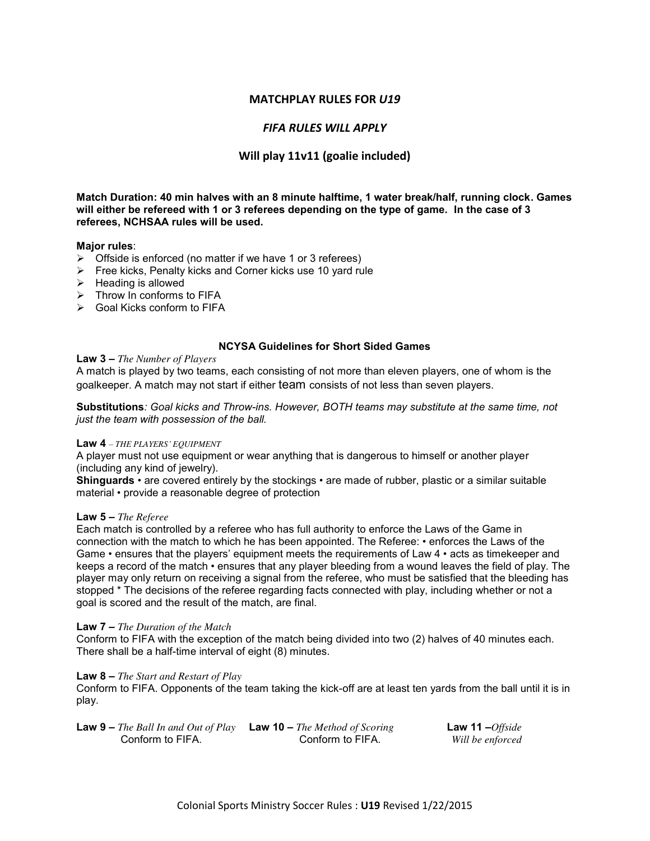## **MATCHPLAY RULES FOR** *U19*

# *FIFA RULES WILL APPLY*

# **Will play 11v11 (goalie included)**

**Match Duration: 40 min halves with an 8 minute halftime, 1 water break/half, running clock. Games will either be refereed with 1 or 3 referees depending on the type of game. In the case of 3 referees, NCHSAA rules will be used.** 

### **Major rules**:

- $\triangleright$  Offside is enforced (no matter if we have 1 or 3 referees)
- $\triangleright$  Free kicks, Penalty kicks and Corner kicks use 10 yard rule
- $\triangleright$  Heading is allowed
- $\triangleright$  Throw In conforms to FIFA
- Goal Kicks conform to FIFA

### **NCYSA Guidelines for Short Sided Games**

#### **Law 3 –** *The Number of Players*

A match is played by two teams, each consisting of not more than eleven players, one of whom is the goalkeeper. A match may not start if either team consists of not less than seven players.

**Substitutions***: Goal kicks and Throw-ins. However, BOTH teams may substitute at the same time, not just the team with possession of the ball.* 

### **Law 4** *– THE PLAYERS' EQUIPMENT*

A player must not use equipment or wear anything that is dangerous to himself or another player (including any kind of jewelry).

**Shinguards** • are covered entirely by the stockings • are made of rubber, plastic or a similar suitable material • provide a reasonable degree of protection

#### **Law 5 –** *The Referee*

Each match is controlled by a referee who has full authority to enforce the Laws of the Game in connection with the match to which he has been appointed. The Referee: • enforces the Laws of the Game • ensures that the players' equipment meets the requirements of Law 4 • acts as timekeeper and keeps a record of the match • ensures that any player bleeding from a wound leaves the field of play. The player may only return on receiving a signal from the referee, who must be satisfied that the bleeding has stopped \* The decisions of the referee regarding facts connected with play, including whether or not a goal is scored and the result of the match, are final.

### **Law 7 –** *The Duration of the Match*

Conform to FIFA with the exception of the match being divided into two (2) halves of 40 minutes each. There shall be a half-time interval of eight (8) minutes.

#### **Law 8 –** *The Start and Restart of Play*

Conform to FIFA. Opponents of the team taking the kick-off are at least ten yards from the ball until it is in play.

| <b>Law 9 –</b> The Ball In and Out of Play <b>Law 10 –</b> The Method of Scoring |                  | Law 11 $-Offside$ |
|----------------------------------------------------------------------------------|------------------|-------------------|
| Conform to FIFA.                                                                 | Conform to FIFA. | Will be enforced  |